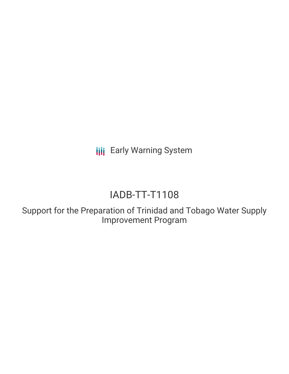**III** Early Warning System

# IADB-TT-T1108

Support for the Preparation of Trinidad and Tobago Water Supply Improvement Program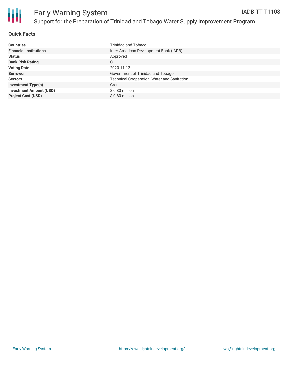

# **Quick Facts**

| <b>Countries</b>               | Trinidad and Tobago                                |
|--------------------------------|----------------------------------------------------|
| <b>Financial Institutions</b>  | Inter-American Development Bank (IADB)             |
| <b>Status</b>                  | Approved                                           |
| <b>Bank Risk Rating</b>        | С                                                  |
| <b>Voting Date</b>             | 2020-11-12                                         |
| <b>Borrower</b>                | Government of Trinidad and Tobago                  |
| <b>Sectors</b>                 | <b>Technical Cooperation, Water and Sanitation</b> |
| <b>Investment Type(s)</b>      | Grant                                              |
| <b>Investment Amount (USD)</b> | $$0.80$ million                                    |
| <b>Project Cost (USD)</b>      | \$0.80 million                                     |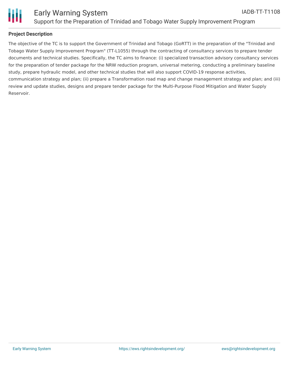

## **Project Description**

The objective of the TC is to support the Government of Trinidad and Tobago (GoRTT) in the preparation of the "Trinidad and Tobago Water Supply Improvement Program" (TT-L1055) through the contracting of consultancy services to prepare tender documents and technical studies. Specifically, the TC aims to finance: (i) specialized transaction advisory consultancy services for the preparation of tender package for the NRW reduction program, universal metering, conducting a preliminary baseline study, prepare hydraulic model, and other technical studies that will also support COVID-19 response activities, communication strategy and plan; (ii) prepare a Transformation road map and change management strategy and plan; and (iii) review and update studies, designs and prepare tender package for the Multi-Purpose Flood Mitigation and Water Supply Reservoir.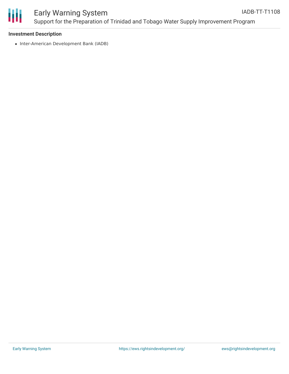

#### **Investment Description**

• Inter-American Development Bank (IADB)